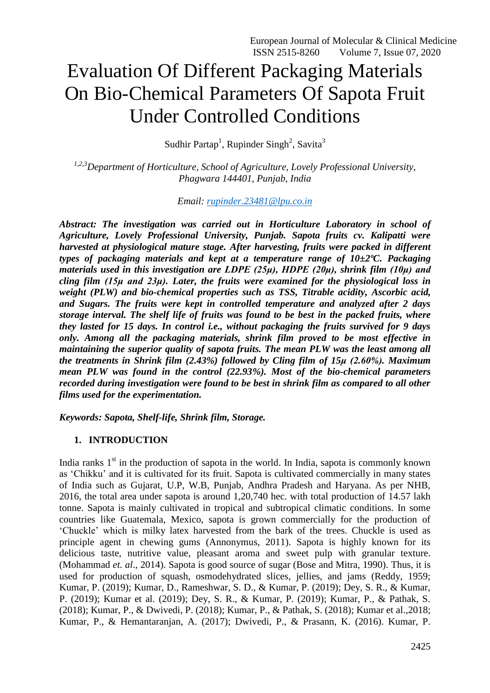# Evaluation Of Different Packaging Materials On Bio-Chemical Parameters Of Sapota Fruit Under Controlled Conditions

Sudhir Partap<sup>1</sup>, Rupinder Singh<sup>2</sup>, Savita<sup>3</sup>

*1,2,3Department of Horticulture, School of Agriculture, Lovely Professional University, Phagwara 144401, Punjab, India*

*Email: [rupinder.23481@lpu.co.in](mailto:rupinder.23481@lpu.co.in)*

*Abstract: The investigation was carried out in Horticulture Laboratory in school of Agriculture, Lovely Professional University, Punjab. Sapota fruits cv. Kalipatti were harvested at physiological mature stage. After harvesting, fruits were packed in different types of packaging materials and kept at a temperature range of 10±2ºC. Packaging materials used in this investigation are LDPE (25μ), HDPE (20μ), shrink film (10μ) and cling film (15μ and 23μ). Later, the fruits were examined for the physiological loss in weight (PLW) and bio-chemical properties such as TSS, Titrable acidity, Ascorbic acid, and Sugars. The fruits were kept in controlled temperature and analyzed after 2 days storage interval. The shelf life of fruits was found to be best in the packed fruits, where they lasted for 15 days. In control i.e., without packaging the fruits survived for 9 days only. Among all the packaging materials, shrink film proved to be most effective in maintaining the superior quality of sapota fruits. The mean PLW was the least among all the treatments in Shrink film (2.43%) followed by Cling film of 15μ (2.60%). Maximum mean PLW was found in the control (22.93%). Most of the bio-chemical parameters recorded during investigation were found to be best in shrink film as compared to all other films used for the experimentation.*

*Keywords: Sapota, Shelf-life, Shrink film, Storage.*

## **1. INTRODUCTION**

India ranks  $1<sup>st</sup>$  in the production of sapota in the world. In India, sapota is commonly known as 'Chikku' and it is cultivated for its fruit. Sapota is cultivated commercially in many states of India such as Gujarat, U.P, W.B, Punjab, Andhra Pradesh and Haryana. As per NHB, 2016, the total area under sapota is around 1,20,740 hec. with total production of 14.57 lakh tonne. Sapota is mainly cultivated in tropical and subtropical climatic conditions. In some countries like Guatemala, Mexico, sapota is grown commercially for the production of 'Chuckle' which is milky latex harvested from the bark of the trees. Chuckle is used as principle agent in chewing gums (Annonymus, 2011). Sapota is highly known for its delicious taste, nutritive value, pleasant aroma and sweet pulp with granular texture. (Mohammad *et. al*., 2014). Sapota is good source of sugar (Bose and Mitra, 1990). Thus, it is used for production of squash, osmodehydrated slices, jellies, and jams (Reddy, 1959; Kumar, P. (2019); Kumar, D., Rameshwar, S. D., & Kumar, P. (2019); Dey, S. R., & Kumar, P. (2019); Kumar et al. (2019); Dey, S. R., & Kumar, P. (2019); Kumar, P., & Pathak, S. (2018); Kumar, P., & Dwivedi, P. (2018); Kumar, P., & Pathak, S. (2018); Kumar et al.,2018; Kumar, P., & Hemantaranjan, A. (2017); Dwivedi, P., & Prasann, K. (2016). Kumar, P.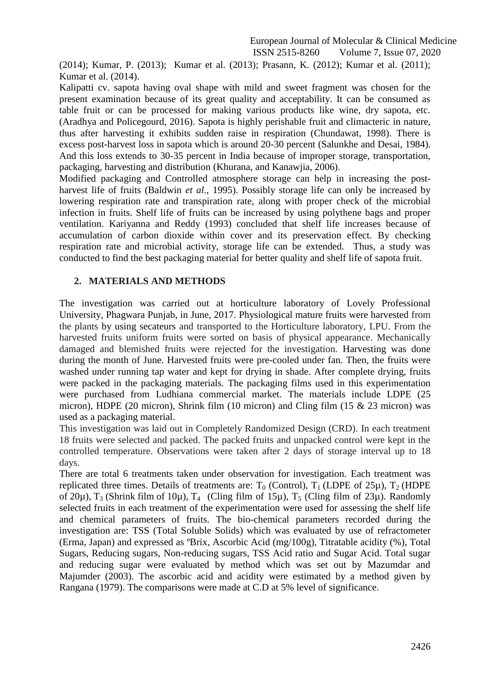(2014); Kumar, P. (2013); Kumar et al. (2013); Prasann, K. (2012); Kumar et al. (2011); Kumar et al. (2014).

Kalipatti cv. sapota having oval shape with mild and sweet fragment was chosen for the present examination because of its great quality and acceptability. It can be consumed as table fruit or can be processed for making various products like wine, dry sapota, etc. (Aradhya and Policegourd, 2016). Sapota is highly perishable fruit and climacteric in nature, thus after harvesting it exhibits sudden raise in respiration (Chundawat, 1998). There is excess post-harvest loss in sapota which is around 20-30 percent (Salunkhe and Desai, 1984). And this loss extends to 30-35 percent in India because of improper storage, transportation, packaging, harvesting and distribution (Khurana, and Kanawjia, 2006).

Modified packaging and Controlled atmosphere storage can help in increasing the postharvest life of fruits (Baldwin *et al*., 1995). Possibly storage life can only be increased by lowering respiration rate and transpiration rate, along with proper check of the microbial infection in fruits. Shelf life of fruits can be increased by using polythene bags and proper ventilation. Kariyanna and Reddy (1993) concluded that shelf life increases because of accumulation of carbon dioxide within cover and its preservation effect. By checking respiration rate and microbial activity, storage life can be extended. Thus, a study was conducted to find the best packaging material for better quality and shelf life of sapota fruit.

#### **2. MATERIALS AND METHODS**

The investigation was carried out at horticulture laboratory of Lovely Professional University, Phagwara Punjab, in June, 2017. Physiological mature fruits were harvested from the plants by using secateurs and transported to the Horticulture laboratory, LPU. From the harvested fruits uniform fruits were sorted on basis of physical appearance. Mechanically damaged and blemished fruits were rejected for the investigation. Harvesting was done during the month of June. Harvested fruits were pre-cooled under fan. Then, the fruits were washed under running tap water and kept for drying in shade. After complete drying, fruits were packed in the packaging materials. The packaging films used in this experimentation were purchased from Ludhiana commercial market. The materials include LDPE (25 micron), HDPE (20 micron), Shrink film (10 micron) and Cling film (15 & 23 micron) was used as a packaging material.

This investigation was laid out in Completely Randomized Design (CRD). In each treatment 18 fruits were selected and packed. The packed fruits and unpacked control were kept in the controlled temperature. Observations were taken after 2 days of storage interval up to 18 days.

There are total 6 treatments taken under observation for investigation. Each treatment was replicated three times. Details of treatments are:  $T_0$  (Control),  $T_1$  (LDPE of 25 $\mu$ ),  $T_2$  (HDPE of 20 $\mu$ ), T<sub>3</sub> (Shrink film of 10 $\mu$ ), T<sub>4</sub> (Cling film of 15 $\mu$ ), T<sub>5</sub> (Cling film of 23 $\mu$ ). Randomly selected fruits in each treatment of the experimentation were used for assessing the shelf life and chemical parameters of fruits. The bio-chemical parameters recorded during the investigation are: TSS (Total Soluble Solids) which was evaluated by use of refractometer (Erma, Japan) and expressed as ºBrix, Ascorbic Acid (mg/100g), Titratable acidity (%), Total Sugars, Reducing sugars, Non-reducing sugars, TSS Acid ratio and Sugar Acid. Total sugar and reducing sugar were evaluated by method which was set out by Mazumdar and Majumder (2003). The ascorbic acid and acidity were estimated by a method given by Rangana (1979). The comparisons were made at C.D at 5% level of significance.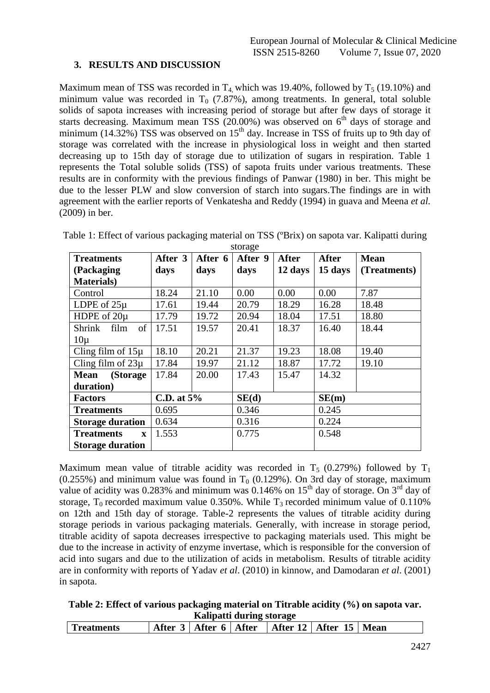#### **3. RESULTS AND DISCUSSION**

Maximum mean of TSS was recorded in  $T_4$  which was 19.40%, followed by  $T_5$  (19.10%) and minimum value was recorded in  $T_0$  (7.87%), among treatments. In general, total soluble solids of sapota increases with increasing period of storage but after few days of storage it starts decreasing. Maximum mean TSS  $(20.00%)$  was observed on 6<sup>th</sup> days of storage and minimum (14.32%) TSS was observed on  $15<sup>th</sup>$  day. Increase in TSS of fruits up to 9th day of storage was correlated with the increase in physiological loss in weight and then started decreasing up to 15th day of storage due to utilization of sugars in respiration. Table 1 represents the Total soluble solids (TSS) of sapota fruits under various treatments. These results are in conformity with the previous findings of Panwar (1980) in ber. This might be due to the lesser PLW and slow conversion of starch into sugars.The findings are in with agreement with the earlier reports of Venkatesha and Reddy (1994) in guava and Meena *et al.* (2009) in ber.

| <b>Treatments</b>                 | After 3      | After 6 | $\mathbf{u}$<br>After 9 | <b>After</b> | <b>After</b> | <b>Mean</b>  |
|-----------------------------------|--------------|---------|-------------------------|--------------|--------------|--------------|
| (Packaging                        | days         | days    | days                    | 12 days      | 15 days      | (Treatments) |
| <b>Materials</b> )                |              |         |                         |              |              |              |
| Control                           | 18.24        | 21.10   | 0.00                    | 0.00         | 0.00         | 7.87         |
| LDPE of $25\mu$                   | 17.61        | 19.44   | 20.79                   | 18.29        | 16.28        | 18.48        |
| HDPE of 20µ                       | 17.79        | 19.72   | 20.94                   | 18.04        | 17.51        | 18.80        |
| Shrink<br>of<br>film              | 17.51        | 19.57   | 20.41                   | 18.37        | 16.40        | 18.44        |
| $10\mu$                           |              |         |                         |              |              |              |
| Cling film of $15\mu$             | 18.10        | 20.21   | 21.37                   | 19.23        | 18.08        | 19.40        |
| Cling film of $23\mu$             | 17.84        | 19.97   | 21.12                   | 18.87        | 17.72        | 19.10        |
| (Storage<br><b>Mean</b>           | 17.84        | 20.00   | 17.43                   | 15.47        | 14.32        |              |
| duration)                         |              |         |                         |              |              |              |
| <b>Factors</b>                    | C.D. at $5%$ |         | SE(d)                   |              | SE(m)        |              |
| <b>Treatments</b>                 | 0.695        |         | 0.346                   |              | 0.245        |              |
| <b>Storage duration</b>           | 0.634        |         | 0.316                   |              | 0.224        |              |
| <b>Treatments</b><br>$\mathbf{x}$ | 1.553        |         | 0.775                   |              | 0.548        |              |
| <b>Storage duration</b>           |              |         |                         |              |              |              |

Table 1: Effect of various packaging material on TSS (ºBrix) on sapota var. Kalipatti during storage

Maximum mean value of titrable acidity was recorded in  $T_5$  (0.279%) followed by  $T_1$  $(0.255%)$  and minimum value was found in T<sub>0</sub> (0.129%). On 3rd day of storage, maximum value of acidity was  $0.283\%$  and minimum was  $0.146\%$  on  $15<sup>th</sup>$  day of storage. On  $3<sup>rd</sup>$  day of storage,  $T_0$  recorded maximum value 0.350%. While  $T_3$  recorded minimum value of 0.110% on 12th and 15th day of storage. Table-2 represents the values of titrable acidity during storage periods in various packaging materials. Generally, with increase in storage period, titrable acidity of sapota decreases irrespective to packaging materials used. This might be due to the increase in activity of enzyme invertase, which is responsible for the conversion of acid into sugars and due to the utilization of acids in metabolism. Results of titrable acidity are in conformity with reports of Yadav *et al*. (2010) in kinnow, and Damodaran *et al*. (2001) in sapota.

**Table 2: Effect of various packaging material on Titrable acidity (%) on sapota var. Kalipatti during storage**

| After 12   After 15   Mean<br>After 6   After<br>$\text{`fter}$ .<br>l Treatments |
|-----------------------------------------------------------------------------------|
|-----------------------------------------------------------------------------------|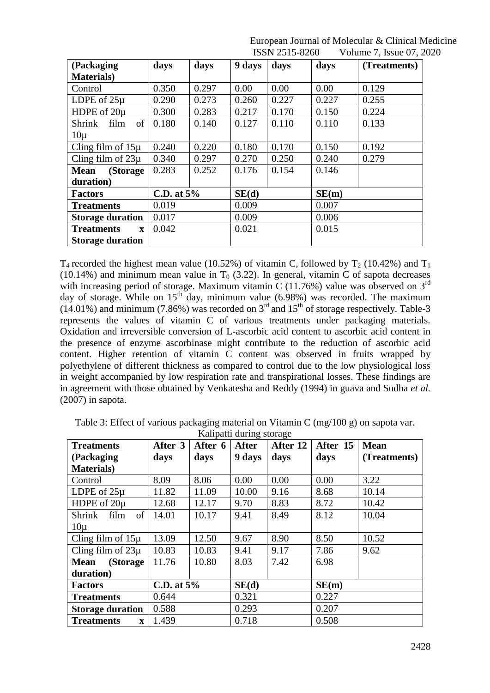| (Packaging                        | days         | days  | 9 days | days  | days  | (Treatments) |
|-----------------------------------|--------------|-------|--------|-------|-------|--------------|
| <b>Materials</b> )                |              |       |        |       |       |              |
| Control                           | 0.350        | 0.297 | 0.00   | 0.00  | 0.00  | 0.129        |
| LDPE of $25\mu$                   | 0.290        | 0.273 | 0.260  | 0.227 | 0.227 | 0.255        |
| HDPE of 20µ                       | 0.300        | 0.283 | 0.217  | 0.170 | 0.150 | 0.224        |
| <b>Shrink</b><br>film<br>of       | 0.180        | 0.140 | 0.127  | 0.110 | 0.110 | 0.133        |
| $10\mu$                           |              |       |        |       |       |              |
| Cling film of $15\mu$             | 0.240        | 0.220 | 0.180  | 0.170 | 0.150 | 0.192        |
| Cling film of $23\mu$             | 0.340        | 0.297 | 0.270  | 0.250 | 0.240 | 0.279        |
| (Storage<br><b>Mean</b>           | 0.283        | 0.252 | 0.176  | 0.154 | 0.146 |              |
| duration)                         |              |       |        |       |       |              |
| <b>Factors</b>                    | C.D. at $5%$ |       | SE(d)  |       | SE(m) |              |
| <b>Treatments</b>                 | 0.019        |       | 0.009  |       | 0.007 |              |
| <b>Storage duration</b>           | 0.017        |       | 0.009  |       | 0.006 |              |
| <b>Treatments</b><br>$\mathbf{x}$ | 0.042        |       | 0.021  |       | 0.015 |              |
| <b>Storage duration</b>           |              |       |        |       |       |              |

 $T_4$  recorded the highest mean value (10.52%) of vitamin C, followed by  $T_2$  (10.42%) and  $T_1$ (10.14%) and minimum mean value in  $T_0$  (3.22). In general, vitamin C of sapota decreases with increasing period of storage. Maximum vitamin C (11.76%) value was observed on  $3<sup>rd</sup>$ day of storage. While on  $15<sup>th</sup>$  day, minimum value (6.98%) was recorded. The maximum (14.01%) and minimum (7.86%) was recorded on 3rd and 15th of storage respectively. Table-3 represents the values of vitamin C of various treatments under packaging materials. Oxidation and irreversible conversion of L-ascorbic acid content to ascorbic acid content in the presence of enzyme ascorbinase might contribute to the reduction of ascorbic acid content. Higher retention of vitamin C content was observed in fruits wrapped by polyethylene of different thickness as compared to control due to the low physiological loss in weight accompanied by low respiration rate and transpirational losses. These findings are in agreement with those obtained by Venkatesha and Reddy (1994) in guava and Sudha *et al.* (2007) in sapota.

| <b>Treatments</b>                 | After 3      | After 6 | <b>After</b> | After 12 | After 15 | <b>Mean</b>  |
|-----------------------------------|--------------|---------|--------------|----------|----------|--------------|
| (Packaging)                       | days         | days    | 9 days       | days     | days     | (Treatments) |
| <b>Materials</b> )                |              |         |              |          |          |              |
| Control                           | 8.09         | 8.06    | 0.00         | 0.00     | 0.00     | 3.22         |
| LDPE of $25\mu$                   | 11.82        | 11.09   | 10.00        | 9.16     | 8.68     | 10.14        |
| HDPE of $20\mu$                   | 12.68        | 12.17   | 9.70         | 8.83     | 8.72     | 10.42        |
| of<br>Shrink<br>film              | 14.01        | 10.17   | 9.41         | 8.49     | 8.12     | 10.04        |
| $10\mu$                           |              |         |              |          |          |              |
| Cling film of $15\mu$             | 13.09        | 12.50   | 9.67         | 8.90     | 8.50     | 10.52        |
| Cling film of $23\mu$             | 10.83        | 10.83   | 9.41         | 9.17     | 7.86     | 9.62         |
| <b>Mean</b><br>(Storage           | 11.76        | 10.80   | 8.03         | 7.42     | 6.98     |              |
| duration)                         |              |         |              |          |          |              |
| <b>Factors</b>                    | C.D. at $5%$ |         | SE(d)        |          | SE(m)    |              |
| <b>Treatments</b>                 | 0.644        |         | 0.321        |          | 0.227    |              |
| <b>Storage duration</b>           | 0.588        |         | 0.293        |          | 0.207    |              |
| <b>Treatments</b><br>$\mathbf{x}$ | 1.439        |         | 0.718        |          | 0.508    |              |

Table 3: Effect of various packaging material on Vitamin C (mg/100 g) on sapota var. Kalipatti during storage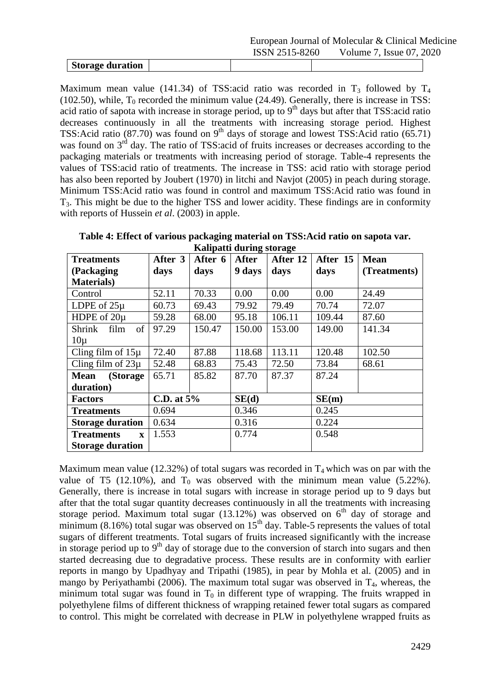|                  |                | European Journal of Molecular & Clinical Medicine |
|------------------|----------------|---------------------------------------------------|
|                  | ISSN 2515-8260 | Volume 7, Issue 07, 2020                          |
| Storage duration |                |                                                   |

Maximum mean value (141.34) of TSS:acid ratio was recorded in  $T_3$  followed by  $T_4$ (102.50), while,  $T_0$  recorded the minimum value (24.49). Generally, there is increase in TSS: acid ratio of sapota with increase in storage period, up to  $9<sup>th</sup>$  days but after that TSS:acid ratio decreases continuously in all the treatments with increasing storage period. Highest TSS:Acid ratio (87.70) was found on 9<sup>th</sup> days of storage and lowest TSS:Acid ratio (65.71) was found on  $3<sup>rd</sup>$  day. The ratio of TSS:acid of fruits increases or decreases according to the packaging materials or treatments with increasing period of storage. Table-4 represents the values of TSS:acid ratio of treatments. The increase in TSS: acid ratio with storage period has also been reported by Joubert (1970) in litchi and Navjot (2005) in peach during storage. Minimum TSS:Acid ratio was found in control and maximum TSS:Acid ratio was found in T3. This might be due to the higher TSS and lower acidity. These findings are in conformity with reports of Hussein *et al*. (2003) in apple.

**Table 4: Effect of various packaging material on TSS:Acid ratio on sapota var. Kalipatti during storage**

|                                   |              | <b>Ranpatu uuring storage</b> |              |          |          |              |
|-----------------------------------|--------------|-------------------------------|--------------|----------|----------|--------------|
| <b>Treatments</b>                 | After 3      | After 6                       | <b>After</b> | After 12 | After 15 | <b>Mean</b>  |
| (Packaging                        | days         | days                          | 9 days       | days     | days     | (Treatments) |
| <b>Materials</b> )                |              |                               |              |          |          |              |
| Control                           | 52.11        | 70.33                         | 0.00         | 0.00     | 0.00     | 24.49        |
| LDPE of $25\mu$                   | 60.73        | 69.43                         | 79.92        | 79.49    | 70.74    | 72.07        |
| HDPE of $20\mu$                   | 59.28        | 68.00                         | 95.18        | 106.11   | 109.44   | 87.60        |
| Shrink<br>of<br>film              | 97.29        | 150.47                        | 150.00       | 153.00   | 149.00   | 141.34       |
| $10\mu$                           |              |                               |              |          |          |              |
| Cling film of $15\mu$             | 72.40        | 87.88                         | 118.68       | 113.11   | 120.48   | 102.50       |
| Cling film of $23\mu$             | 52.48        | 68.83                         | 75.43        | 72.50    | 73.84    | 68.61        |
| <b>Mean</b><br>(Storage)          | 65.71        | 85.82                         | 87.70        | 87.37    | 87.24    |              |
| duration)                         |              |                               |              |          |          |              |
| <b>Factors</b>                    | C.D. at $5%$ |                               | SE(d)        |          | SE(m)    |              |
| <b>Treatments</b>                 | 0.694        |                               | 0.346        |          | 0.245    |              |
| <b>Storage duration</b>           | 0.634        |                               | 0.316        |          | 0.224    |              |
| <b>Treatments</b><br>$\mathbf{x}$ | 1.553        |                               | 0.774        |          | 0.548    |              |
| <b>Storage duration</b>           |              |                               |              |          |          |              |

Maximum mean value (12.32%) of total sugars was recorded in  $T_4$  which was on par with the value of T5 (12.10%), and  $T_0$  was observed with the minimum mean value (5.22%). Generally, there is increase in total sugars with increase in storage period up to 9 days but after that the total sugar quantity decreases continuously in all the treatments with increasing storage period. Maximum total sugar  $(13.12%)$  was observed on  $6<sup>th</sup>$  day of storage and minimum (8.16%) total sugar was observed on  $15<sup>th</sup>$  day. Table-5 represents the values of total sugars of different treatments. Total sugars of fruits increased significantly with the increase in storage period up to  $9<sup>th</sup>$  day of storage due to the conversion of starch into sugars and then started decreasing due to degradative process. These results are in conformity with earlier reports in mango by Upadhyay and Tripathi (1985), in pear by Mohla et al. (2005) and in mango by Periyathambi (2006). The maximum total sugar was observed in  $T_4$ , whereas, the minimum total sugar was found in  $T_0$  in different type of wrapping. The fruits wrapped in polyethylene films of different thickness of wrapping retained fewer total sugars as compared to control. This might be correlated with decrease in PLW in polyethylene wrapped fruits as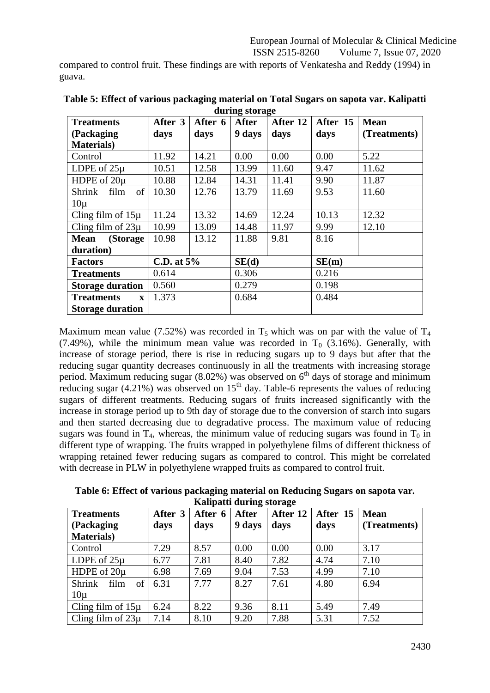European Journal of Molecular & Clinical Medicine

ISSN 2515-8260 Volume 7, Issue 07, 2020

compared to control fruit. These findings are with reports of Venkatesha and Reddy (1994) in guava.

|                                   |              |         | $\frac{1}{2}$ $\frac{1}{2}$ $\frac{1}{2}$ |          |          |              |
|-----------------------------------|--------------|---------|-------------------------------------------|----------|----------|--------------|
| <b>Treatments</b>                 | After 3      | After 6 | <b>After</b>                              | After 12 | After 15 | <b>Mean</b>  |
| (Packaging                        | days         | days    | 9 days                                    | days     | days     | (Treatments) |
| <b>Materials</b> )                |              |         |                                           |          |          |              |
| Control                           | 11.92        | 14.21   | 0.00                                      | 0.00     | 0.00     | 5.22         |
| LDPE of $25\mu$                   | 10.51        | 12.58   | 13.99                                     | 11.60    | 9.47     | 11.62        |
| HDPE of $20\mu$                   | 10.88        | 12.84   | 14.31                                     | 11.41    | 9.90     | 11.87        |
| Shrink<br>of<br>film              | 10.30        | 12.76   | 13.79                                     | 11.69    | 9.53     | 11.60        |
| $10\mu$                           |              |         |                                           |          |          |              |
| Cling film of $15\mu$             | 11.24        | 13.32   | 14.69                                     | 12.24    | 10.13    | 12.32        |
| Cling film of $23\mu$             | 10.99        | 13.09   | 14.48                                     | 11.97    | 9.99     | 12.10        |
| <b>Mean</b><br>(Storage)          | 10.98        | 13.12   | 11.88                                     | 9.81     | 8.16     |              |
| duration)                         |              |         |                                           |          |          |              |
| <b>Factors</b>                    | C.D. at $5%$ |         | SE(d)                                     |          | SE(m)    |              |
| <b>Treatments</b>                 | 0.614        |         | 0.306                                     |          | 0.216    |              |
| <b>Storage duration</b>           | 0.560        |         | 0.279                                     |          | 0.198    |              |
| <b>Treatments</b><br>$\mathbf{x}$ | 1.373        |         | 0.684                                     |          | 0.484    |              |
| <b>Storage duration</b>           |              |         |                                           |          |          |              |

**Table 5: Effect of various packaging material on Total Sugars on sapota var. Kalipatti during storage**

Maximum mean value (7.52%) was recorded in  $T_5$  which was on par with the value of  $T_4$ (7.49%), while the minimum mean value was recorded in  $T_0$  (3.16%). Generally, with increase of storage period, there is rise in reducing sugars up to 9 days but after that the reducing sugar quantity decreases continuously in all the treatments with increasing storage period. Maximum reducing sugar  $(8.02\%)$  was observed on  $6<sup>th</sup>$  days of storage and minimum reducing sugar (4.21%) was observed on  $15<sup>th</sup>$  day. Table-6 represents the values of reducing sugars of different treatments. Reducing sugars of fruits increased significantly with the increase in storage period up to 9th day of storage due to the conversion of starch into sugars and then started decreasing due to degradative process. The maximum value of reducing sugars was found in  $T_4$ , whereas, the minimum value of reducing sugars was found in  $T_0$  in different type of wrapping. The fruits wrapped in polyethylene films of different thickness of wrapping retained fewer reducing sugars as compared to control. This might be correlated with decrease in PLW in polyethylene wrapped fruits as compared to control fruit.

**Table 6: Effect of various packaging material on Reducing Sugars on sapota var. Kalipatti during storage**

| <b>Treatments</b>           | After 3 | After 6 | ັ<br><b>After</b> | After 12 | After 15 | <b>Mean</b>  |
|-----------------------------|---------|---------|-------------------|----------|----------|--------------|
| (Packaging)                 | days    | days    | 9 days            | days     | days     | (Treatments) |
| <b>Materials</b> )          |         |         |                   |          |          |              |
| Control                     | 7.29    | 8.57    | 0.00              | 0.00     | 0.00     | 3.17         |
| LDPE of $25\mu$             | 6.77    | 7.81    | 8.40              | 7.82     | 4.74     | 7.10         |
| HDPE of $20\mu$             | 6.98    | 7.69    | 9.04              | 7.53     | 4.99     | 7.10         |
| of<br><b>Shrink</b><br>film | 6.31    | 7.77    | 8.27              | 7.61     | 4.80     | 6.94         |
| $10\mu$                     |         |         |                   |          |          |              |
| Cling film of $15\mu$       | 6.24    | 8.22    | 9.36              | 8.11     | 5.49     | 7.49         |
| Cling film of $23\mu$       | 7.14    | 8.10    | 9.20              | 7.88     | 5.31     | 7.52         |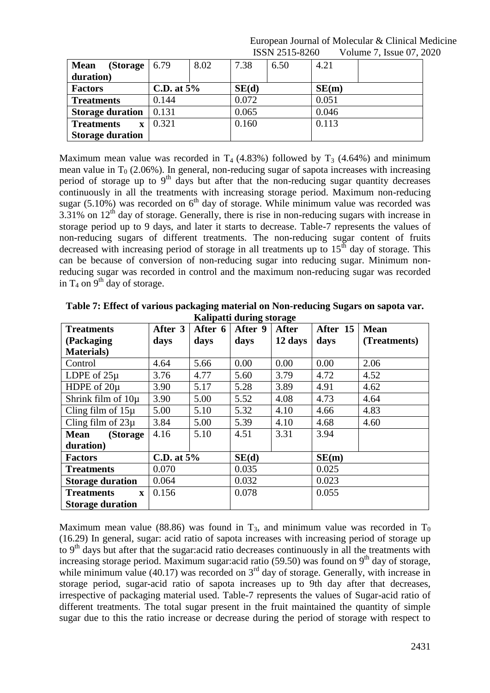| (Storage $\vert 6.79$ )<br><b>Mean</b> |               | 8.02 | 7.38  | 6.50 | 4.21  |  |
|----------------------------------------|---------------|------|-------|------|-------|--|
| duration)                              |               |      |       |      |       |  |
| <b>Factors</b>                         | C.D. at $5\%$ |      | SE(d) |      | SE(m) |  |
| <b>Treatments</b>                      | 0.144         |      | 0.072 |      | 0.051 |  |
| <b>Storage duration</b>                | 0.131         |      | 0.065 |      | 0.046 |  |
| <b>Treatments</b>                      | 0.321         |      | 0.160 |      | 0.113 |  |
| <b>Storage duration</b>                |               |      |       |      |       |  |

Maximum mean value was recorded in  $T_4$  (4.83%) followed by  $T_3$  (4.64%) and minimum mean value in  $T_0$  (2.06%). In general, non-reducing sugar of sapota increases with increasing period of storage up to  $9<sup>th</sup>$  days but after that the non-reducing sugar quantity decreases continuously in all the treatments with increasing storage period. Maximum non-reducing sugar (5.10%) was recorded on  $6<sup>th</sup>$  day of storage. While minimum value was recorded was  $3.31\%$  on  $12<sup>th</sup>$  day of storage. Generally, there is rise in non-reducing sugars with increase in storage period up to 9 days, and later it starts to decrease. Table-7 represents the values of non-reducing sugars of different treatments. The non-reducing sugar content of fruits decreased with increasing period of storage in all treatments up to  $15<sup>th</sup>$  day of storage. This can be because of conversion of non-reducing sugar into reducing sugar. Minimum nonreducing sugar was recorded in control and the maximum non-reducing sugar was recorded in  $T_4$  on  $9^{th}$  day of storage.

| <b>Treatments</b>                 | After 3       | After 6 | After 9 | ັ<br><b>After</b> | After 15 | <b>Mean</b>  |
|-----------------------------------|---------------|---------|---------|-------------------|----------|--------------|
| (Packaging)                       | days          | days    | days    | 12 days           | days     | (Treatments) |
| <b>Materials</b> )                |               |         |         |                   |          |              |
| Control                           | 4.64          | 5.66    | 0.00    | 0.00              | 0.00     | 2.06         |
| LDPE of $25\mu$                   | 3.76          | 4.77    | 5.60    | 3.79              | 4.72     | 4.52         |
| HDPE of 20µ                       | 3.90          | 5.17    | 5.28    | 3.89              | 4.91     | 4.62         |
| Shrink film of $10\mu$            | 3.90          | 5.00    | 5.52    | 4.08              | 4.73     | 4.64         |
| Cling film of $15\mu$             | 5.00          | 5.10    | 5.32    | 4.10              | 4.66     | 4.83         |
| Cling film of $23\mu$             | 3.84          | 5.00    | 5.39    | 4.10              | 4.68     | 4.60         |
| (Storage<br><b>Mean</b>           | 4.16          | 5.10    | 4.51    | 3.31              | 3.94     |              |
| duration)                         |               |         |         |                   |          |              |
| <b>Factors</b>                    | C.D. at $5\%$ |         | SE(d)   |                   | SE(m)    |              |
| <b>Treatments</b>                 | 0.070         |         | 0.035   |                   | 0.025    |              |
| <b>Storage duration</b>           | 0.064         |         | 0.032   |                   | 0.023    |              |
| <b>Treatments</b><br>$\mathbf{x}$ | 0.156         |         | 0.078   |                   | 0.055    |              |
| <b>Storage duration</b>           |               |         |         |                   |          |              |

**Table 7: Effect of various packaging material on Non-reducing Sugars on sapota var. Kalipatti during storage**

Maximum mean value (88.86) was found in  $T_3$ , and minimum value was recorded in  $T_0$ (16.29) In general, sugar: acid ratio of sapota increases with increasing period of storage up to 9<sup>th</sup> days but after that the sugar:acid ratio decreases continuously in all the treatments with increasing storage period. Maximum sugar:acid ratio (59.50) was found on  $9<sup>th</sup>$  day of storage, while minimum value (40.17) was recorded on  $3<sup>rd</sup>$  day of storage. Generally, with increase in storage period, sugar-acid ratio of sapota increases up to 9th day after that decreases, irrespective of packaging material used. Table-7 represents the values of Sugar-acid ratio of different treatments. The total sugar present in the fruit maintained the quantity of simple sugar due to this the ratio increase or decrease during the period of storage with respect to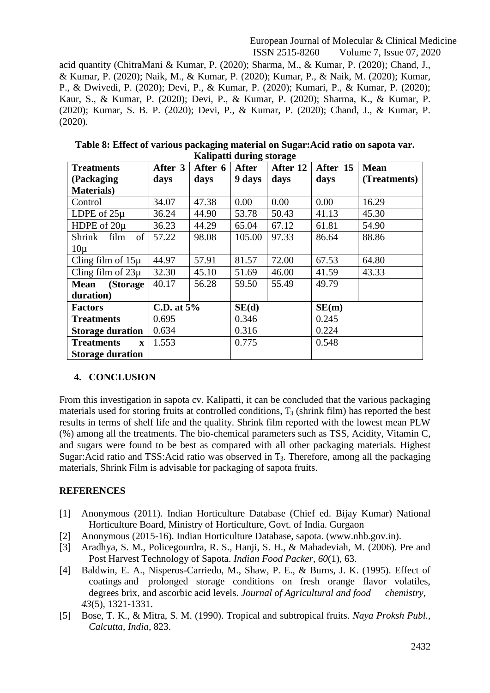acid quantity (ChitraMani & Kumar, P. (2020); Sharma, M., & Kumar, P. (2020); Chand, J., & Kumar, P. (2020); Naik, M., & Kumar, P. (2020); Kumar, P., & Naik, M. (2020); Kumar, P., & Dwivedi, P. (2020); Devi, P., & Kumar, P. (2020); Kumari, P., & Kumar, P. (2020); Kaur, S., & Kumar, P. (2020); Devi, P., & Kumar, P. (2020); Sharma, K., & Kumar, P. (2020); Kumar, S. B. P. (2020); Devi, P., & Kumar, P. (2020); Chand, J., & Kumar, P. (2020).

| <b>Treatments</b>                 | After 3      | After 6 | <b>After</b> | After 12 | After 15 | <b>Mean</b>  |
|-----------------------------------|--------------|---------|--------------|----------|----------|--------------|
| (Packaging)                       | days         | days    | 9 days       | days     | days     | (Treatments) |
| <b>Materials</b> )                |              |         |              |          |          |              |
| Control                           | 34.07        | 47.38   | 0.00         | 0.00     | 0.00     | 16.29        |
| LDPE of $25\mu$                   | 36.24        | 44.90   | 53.78        | 50.43    | 41.13    | 45.30        |
| HDPE of $20\mu$                   | 36.23        | 44.29   | 65.04        | 67.12    | 61.81    | 54.90        |
| of<br>Shrink<br>film              | 57.22        | 98.08   | 105.00       | 97.33    | 86.64    | 88.86        |
| $10\mu$                           |              |         |              |          |          |              |
| Cling film of $15\mu$             | 44.97        | 57.91   | 81.57        | 72.00    | 67.53    | 64.80        |
| Cling film of $23\mu$             | 32.30        | 45.10   | 51.69        | 46.00    | 41.59    | 43.33        |
| (Storage<br>Mean                  | 40.17        | 56.28   | 59.50        | 55.49    | 49.79    |              |
| duration)                         |              |         |              |          |          |              |
| <b>Factors</b>                    | C.D. at $5%$ |         | SE(d)        |          | SE(m)    |              |
| <b>Treatments</b>                 | 0.695        |         | 0.346        |          | 0.245    |              |
| <b>Storage duration</b>           | 0.634        |         | 0.316        |          | 0.224    |              |
| <b>Treatments</b><br>$\mathbf{x}$ | 1.553        |         | 0.775        |          | 0.548    |              |
| <b>Storage duration</b>           |              |         |              |          |          |              |

**Table 8: Effect of various packaging material on Sugar:Acid ratio on sapota var. Kalipatti during storage**

### **4. CONCLUSION**

From this investigation in sapota cv. Kalipatti, it can be concluded that the various packaging materials used for storing fruits at controlled conditions,  $T_3$  (shrink film) has reported the best results in terms of shelf life and the quality. Shrink film reported with the lowest mean PLW (%) among all the treatments. The bio-chemical parameters such as TSS, Acidity, Vitamin C, and sugars were found to be best as compared with all other packaging materials. Highest Sugar:Acid ratio and TSS:Acid ratio was observed in  $T_3$ . Therefore, among all the packaging materials, Shrink Film is advisable for packaging of sapota fruits.

# **REFERENCES**

- [1] Anonymous (2011). Indian Horticulture Database (Chief ed. Bijay Kumar) National Horticulture Board, Ministry of Horticulture, Govt. of India. Gurgaon
- [2] Anonymous (2015-16). Indian Horticulture Database, sapota. (www.nhb.gov.in).
- [3] Aradhya, S. M., Policegourdra, R. S., Hanji, S. H., & Mahadeviah, M. (2006). Pre and Post Harvest Technology of Sapota. *Indian Food Packer*, *60*(1), 63.
- [4] Baldwin, E. A., Nisperos-Carriedo, M., Shaw, P. E., & Burns, J. K. (1995). Effect of coatings and prolonged storage conditions on fresh orange flavor volatiles, degrees brix, and ascorbic acid levels. *Journal of Agricultural and food chemistry*, *43*(5), 1321-1331.
- [5] Bose, T. K., & Mitra, S. M. (1990). Tropical and subtropical fruits. *Naya Proksh Publ., Calcutta, India*, 823.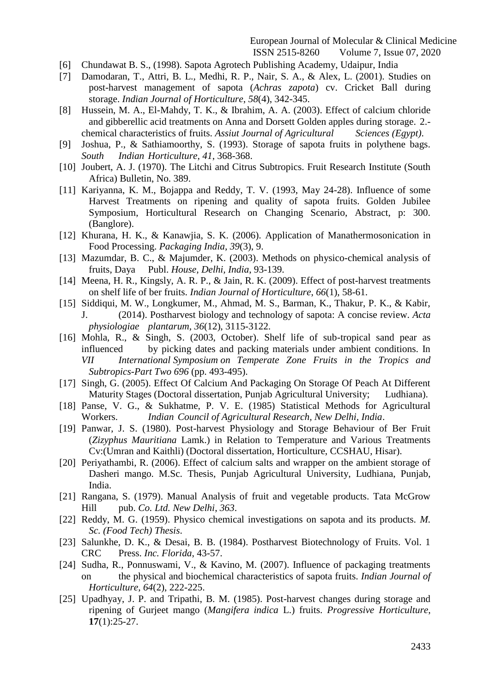- [6] Chundawat B. S., (1998). Sapota Agrotech Publishing Academy, Udaipur, India
- [7] Damodaran, T., Attri, B. L., Medhi, R. P., Nair, S. A., & Alex, L. (2001). Studies on post-harvest management of sapota (*Achras zapota*) cv. Cricket Ball during storage. *Indian Journal of Horticulture*, *58*(4), 342-345.
- [8] Hussein, M. A., El-Mahdy, T. K., & Ibrahim, A. A. (2003). Effect of calcium chloride and gibberellic acid treatments on Anna and Dorsett Golden apples during storage. 2. chemical characteristics of fruits. *Assiut Journal of Agricultural Sciences (Egypt)*.
- [9] Joshua, P., & Sathiamoorthy, S. (1993). Storage of sapota fruits in polythene bags. *South Indian Horticulture*, *41*, 368-368.
- [10] Joubert, A. J. (1970). The Litchi and Citrus Subtropics. Fruit Research Institute (South Africa) Bulletin, No. 389.
- [11] Kariyanna, K. M., Bojappa and Reddy, T. V. (1993, May 24-28). Influence of some Harvest Treatments on ripening and quality of sapota fruits. Golden Jubilee Symposium, Horticultural Research on Changing Scenario, Abstract, p: 300. (Banglore).
- [12] Khurana, H. K., & Kanawjia, S. K. (2006). Application of Manathermosonication in Food Processing. *Packaging India*, *39*(3), 9.
- [13] Mazumdar, B. C., & Majumder, K. (2003). Methods on physico-chemical analysis of fruits, Daya Publ. *House, Delhi, India*, 93-139.
- [14] Meena, H. R., Kingsly, A. R. P., & Jain, R. K. (2009). Effect of post-harvest treatments on shelf life of ber fruits. *Indian Journal of Horticulture*, *66*(1), 58-61.
- [15] Siddiqui, M. W., Longkumer, M., Ahmad, M. S., Barman, K., Thakur, P. K., & Kabir, J. (2014). Postharvest biology and technology of sapota: A concise review. *Acta physiologiae plantarum*, *36*(12), 3115-3122.
- [16] Mohla, R., & Singh, S. (2003, October). Shelf life of sub-tropical sand pear as influenced by picking dates and packing materials under ambient conditions. In *VII International Symposium on Temperate Zone Fruits in the Tropics and Subtropics-Part Two 696* (pp. 493-495).
- [17] Singh, G. (2005). Effect Of Calcium And Packaging On Storage Of Peach At Different Maturity Stages (Doctoral dissertation, Punjab Agricultural University; Ludhiana).
- [18] Panse, V. G., & Sukhatme, P. V. E. (1985) Statistical Methods for Agricultural Workers. *Indian Council of Agricultural Research, New Delhi, India*.
- [19] Panwar, J. S. (1980). Post-harvest Physiology and Storage Behaviour of Ber Fruit (*Zizyphus Mauritiana* Lamk.) in Relation to Temperature and Various Treatments Cv:(Umran and Kaithli) (Doctoral dissertation, Horticulture, CCSHAU, Hisar).
- [20] Periyathambi, R. (2006). Effect of calcium salts and wrapper on the ambient storage of Dasheri mango. M.Sc. Thesis, Punjab Agricultural University, Ludhiana, Punjab, India.
- [21] Rangana, S. (1979). Manual Analysis of fruit and vegetable products. Tata McGrow Hill pub. *Co. Ltd. New Delhi*, *363*.
- [22] Reddy, M. G. (1959). Physico chemical investigations on sapota and its products. *M. Sc. (Food Tech) Thesis*.
- [23] Salunkhe, D. K., & Desai, B. B. (1984). Postharvest Biotechnology of Fruits. Vol. 1 CRC Press. *Inc. Florida*, 43-57.
- [24] Sudha, R., Ponnuswami, V., & Kavino, M. (2007). Influence of packaging treatments on the physical and biochemical characteristics of sapota fruits. *Indian Journal of Horticulture*, *64*(2), 222-225.
- [25] Upadhyay, J. P. and Tripathi, B. M. (1985). Post-harvest changes during storage and ripening of Gurjeet mango (*Mangifera indica* L.) fruits. *Progressive Horticulture*, **17**(1):25-27.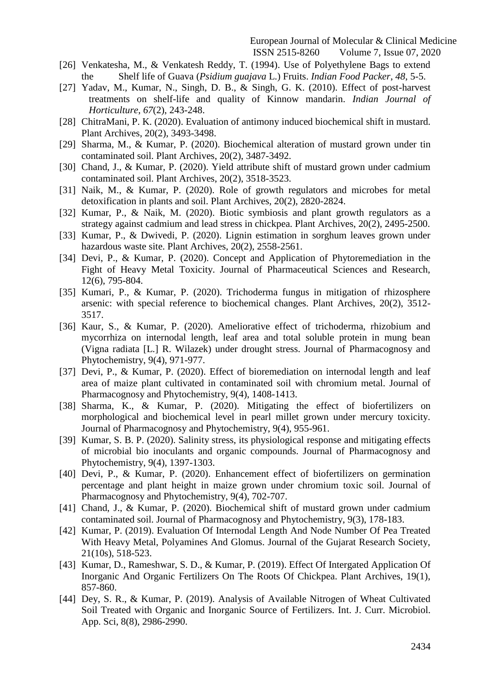- [26] Venkatesha, M., & Venkatesh Reddy, T. (1994). Use of Polyethylene Bags to extend the Shelf life of Guava (*Psidium guajava* L.) Fruits. *Indian Food Packer*, *48*, 5-5.
- [27] Yadav, M., Kumar, N., Singh, D. B., & Singh, G. K. (2010). Effect of post-harvest treatments on shelf-life and quality of Kinnow mandarin. *Indian Journal of Horticulture*, *67*(2), 243-248.
- [28] ChitraMani, P. K. (2020). Evaluation of antimony induced biochemical shift in mustard. Plant Archives, 20(2), 3493-3498.
- [29] Sharma, M., & Kumar, P. (2020). Biochemical alteration of mustard grown under tin contaminated soil. Plant Archives, 20(2), 3487-3492.
- [30] Chand, J., & Kumar, P. (2020). Yield attribute shift of mustard grown under cadmium contaminated soil. Plant Archives, 20(2), 3518-3523.
- [31] Naik, M., & Kumar, P. (2020). Role of growth regulators and microbes for metal detoxification in plants and soil. Plant Archives, 20(2), 2820-2824.
- [32] Kumar, P., & Naik, M. (2020). Biotic symbiosis and plant growth regulators as a strategy against cadmium and lead stress in chickpea. Plant Archives, 20(2), 2495-2500.
- [33] Kumar, P., & Dwivedi, P. (2020). Lignin estimation in sorghum leaves grown under hazardous waste site. Plant Archives, 20(2), 2558-2561.
- [34] Devi, P., & Kumar, P. (2020). Concept and Application of Phytoremediation in the Fight of Heavy Metal Toxicity. Journal of Pharmaceutical Sciences and Research, 12(6), 795-804.
- [35] Kumari, P., & Kumar, P. (2020). Trichoderma fungus in mitigation of rhizosphere arsenic: with special reference to biochemical changes. Plant Archives, 20(2), 3512- 3517.
- [36] Kaur, S., & Kumar, P. (2020). Ameliorative effect of trichoderma, rhizobium and mycorrhiza on internodal length, leaf area and total soluble protein in mung bean (Vigna radiata [L.] R. Wilazek) under drought stress. Journal of Pharmacognosy and Phytochemistry, 9(4), 971-977.
- [37] Devi, P., & Kumar, P. (2020). Effect of bioremediation on internodal length and leaf area of maize plant cultivated in contaminated soil with chromium metal. Journal of Pharmacognosy and Phytochemistry, 9(4), 1408-1413.
- [38] Sharma, K., & Kumar, P. (2020). Mitigating the effect of biofertilizers on morphological and biochemical level in pearl millet grown under mercury toxicity. Journal of Pharmacognosy and Phytochemistry, 9(4), 955-961.
- [39] Kumar, S. B. P. (2020). Salinity stress, its physiological response and mitigating effects of microbial bio inoculants and organic compounds. Journal of Pharmacognosy and Phytochemistry, 9(4), 1397-1303.
- [40] Devi, P., & Kumar, P. (2020). Enhancement effect of biofertilizers on germination percentage and plant height in maize grown under chromium toxic soil. Journal of Pharmacognosy and Phytochemistry, 9(4), 702-707.
- [41] Chand, J., & Kumar, P. (2020). Biochemical shift of mustard grown under cadmium contaminated soil. Journal of Pharmacognosy and Phytochemistry, 9(3), 178-183.
- [42] Kumar, P. (2019). Evaluation Of Internodal Length And Node Number Of Pea Treated With Heavy Metal, Polyamines And Glomus. Journal of the Gujarat Research Society, 21(10s), 518-523.
- [43] Kumar, D., Rameshwar, S. D., & Kumar, P. (2019). Effect Of Intergated Application Of Inorganic And Organic Fertilizers On The Roots Of Chickpea. Plant Archives, 19(1), 857-860.
- [44] Dey, S. R., & Kumar, P. (2019). Analysis of Available Nitrogen of Wheat Cultivated Soil Treated with Organic and Inorganic Source of Fertilizers. Int. J. Curr. Microbiol. App. Sci, 8(8), 2986-2990.